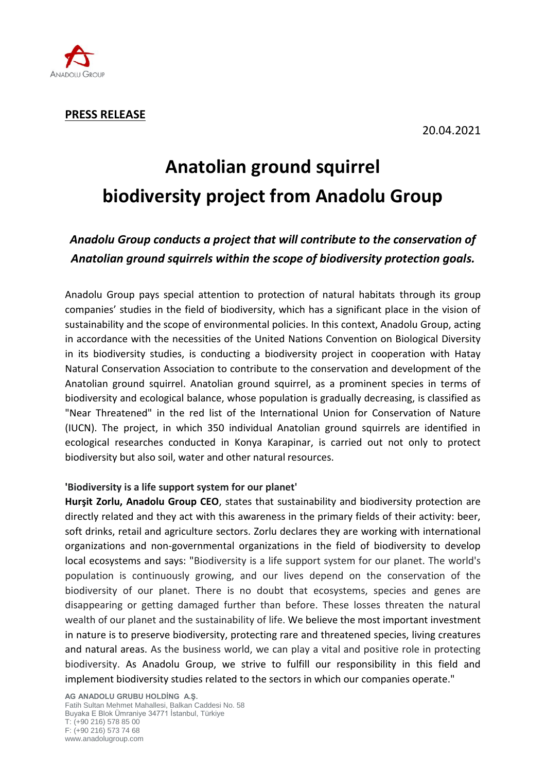

# **Anatolian ground squirrel biodiversity project from Anadolu Group**

# *Anadolu Group conducts a project that will contribute to the conservation of Anatolian ground squirrels within the scope of biodiversity protection goals.*

Anadolu Group pays special attention to protection of natural habitats through its group companies' studies in the field of biodiversity, which has a significant place in the vision of sustainability and the scope of environmental policies. In this context, Anadolu Group, acting in accordance with the necessities of the United Nations Convention on Biological Diversity in its biodiversity studies, is conducting a biodiversity project in cooperation with Hatay Natural Conservation Association to contribute to the conservation and development of the Anatolian ground squirrel. Anatolian ground squirrel, as a prominent species in terms of biodiversity and ecological balance, whose population is gradually decreasing, is classified as "Near Threatened" in the red list of the International Union for Conservation of Nature (IUCN). The project, in which 350 individual Anatolian ground squirrels are identified in ecological researches conducted in Konya Karapinar, is carried out not only to protect biodiversity but also soil, water and other natural resources.

## **'Biodiversity is a life support system for our planet'**

**Hurşit Zorlu, Anadolu Group CEO**, states that sustainability and biodiversity protection are directly related and they act with this awareness in the primary fields of their activity: beer, soft drinks, retail and agriculture sectors. Zorlu declares they are working with international organizations and non-governmental organizations in the field of biodiversity to develop local ecosystems and says: "Biodiversity is a life support system for our planet. The world's population is continuously growing, and our lives depend on the conservation of the biodiversity of our planet. There is no doubt that ecosystems, species and genes are disappearing or getting damaged further than before. These losses threaten the natural wealth of our planet and the sustainability of life. We believe the most important investment in nature is to preserve biodiversity, protecting rare and threatened species, living creatures and natural areas. As the business world, we can play a vital and positive role in protecting biodiversity. As Anadolu Group, we strive to fulfill our responsibility in this field and implement biodiversity studies related to the sectors in which our companies operate."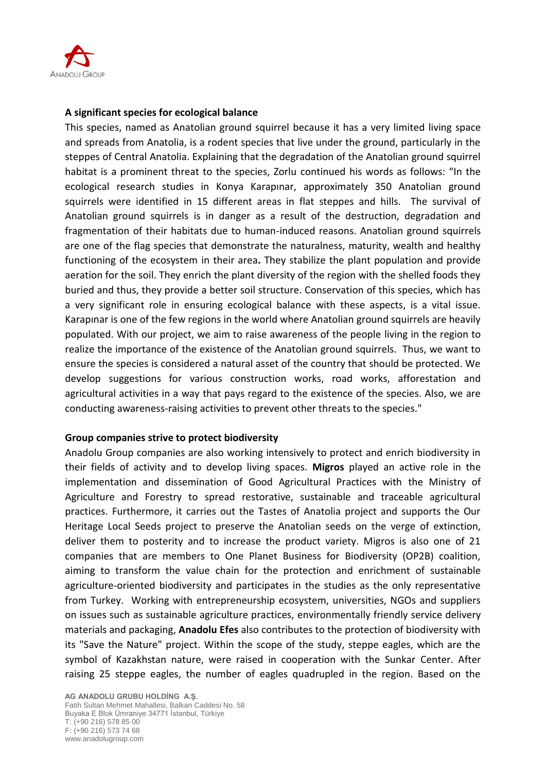

#### **A significant species for ecological balance**

This species, named as Anatolian ground squirrel because it has a very limited living space and spreads from Anatolia, is a rodent species that live under the ground, particularly in the steppes of Central Anatolia. Explaining that the degradation of the Anatolian ground squirrel habitat is a prominent threat to the species, Zorlu continued his words as follows: "In the ecological research studies in Konya Karapınar, approximately 350 Anatolian ground squirrels were identified in 15 different areas in flat steppes and hills. The survival of Anatolian ground squirrels is in danger as a result of the destruction, degradation and fragmentation of their habitats due to human-induced reasons. Anatolian ground squirrels are one of the flag species that demonstrate the naturalness, maturity, wealth and healthy functioning of the ecosystem in their area**.** They stabilize the plant population and provide aeration for the soil. They enrich the plant diversity of the region with the shelled foods they buried and thus, they provide a better soil structure. Conservation of this species, which has a very significant role in ensuring ecological balance with these aspects, is a vital issue. Karapınar is one of the few regions in the world where Anatolian ground squirrels are heavily populated. With our project, we aim to raise awareness of the people living in the region to realize the importance of the existence of the Anatolian ground squirrels. Thus, we want to ensure the species is considered a natural asset of the country that should be protected. We develop suggestions for various construction works, road works, afforestation and agricultural activities in a way that pays regard to the existence of the species. Also, we are conducting awareness-raising activities to prevent other threats to the species."

#### **Group companies strive to protect biodiversity**

Anadolu Group companies are also working intensively to protect and enrich biodiversity in their fields of activity and to develop living spaces. **Migros** played an active role in the implementation and dissemination of Good Agricultural Practices with the Ministry of Agriculture and Forestry to spread restorative, sustainable and traceable agricultural practices. Furthermore, it carries out the Tastes of Anatolia project and supports the Our Heritage Local Seeds project to preserve the Anatolian seeds on the verge of extinction, deliver them to posterity and to increase the product variety. Migros is also one of 21 companies that are members to One Planet Business for Biodiversity (OP2B) coalition, aiming to transform the value chain for the protection and enrichment of sustainable agriculture-oriented biodiversity and participates in the studies as the only representative from Turkey. Working with entrepreneurship ecosystem, universities, NGOs and suppliers on issues such as sustainable agriculture practices, environmentally friendly service delivery materials and packaging, **Anadolu Efes** also contributes to the protection of biodiversity with its "Save the Nature" project. Within the scope of the study, steppe eagles, which are the symbol of Kazakhstan nature, were raised in cooperation with the Sunkar Center. After raising 25 steppe eagles, the number of eagles quadrupled in the region. Based on the